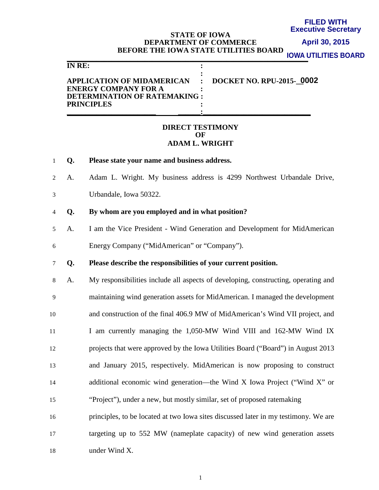#### **FILED WITH Executive Secretary**

### **STATE OF IOWA DEPARTMENT OF COMMERCE BEFORE THE IOWA STATE UTILITIES BOARD**

**April 30, 2015**

**IOWA UTILITIES BOARD**

|                                                                                                                                                  | <u>IUWA UTILITIES BUA</u> |
|--------------------------------------------------------------------------------------------------------------------------------------------------|---------------------------|
| IN RE:                                                                                                                                           |                           |
| APPLICATION OF MIDAMERICAN : DOCKET NO. RPU-2015-0002<br><b>ENERGY COMPANY FOR A</b><br><b>DETERMINATION OF RATEMAKING:</b><br><b>PRINCIPLES</b> |                           |

### **DIRECT TESTIMONY OF ADAM L. WRIGHT**

1 **Q. Please state your name and business address.**

2 A. Adam L. Wright. My business address is 4299 Northwest Urbandale Drive,

- 3 Urbandale, Iowa 50322.
- 4 **Q. By whom are you employed and in what position?**
- 5 A. I am the Vice President Wind Generation and Development for MidAmerican 6 Energy Company ("MidAmerican" or "Company").

7 **Q. Please describe the responsibilities of your current position.**

- 8 A. My responsibilities include all aspects of developing, constructing, operating and 9 maintaining wind generation assets for MidAmerican. I managed the development 10 and construction of the final 406.9 MW of MidAmerican's Wind VII project, and 11 I am currently managing the 1,050-MW Wind VIII and 162-MW Wind IX 12 projects that were approved by the Iowa Utilities Board ("Board") in August 2013 13 and January 2015, respectively. MidAmerican is now proposing to construct 14 additional economic wind generation—the Wind X Iowa Project ("Wind X" or 15 "Project"), under a new, but mostly similar, set of proposed ratemaking 16 principles, to be located at two Iowa sites discussed later in my testimony. We are
- 17 targeting up to 552 MW (nameplate capacity) of new wind generation assets

18 under Wind X.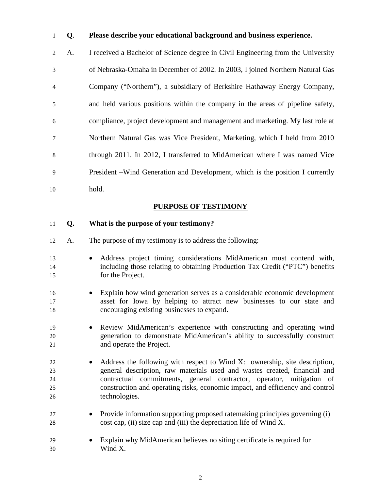### **Q**. **Please describe your educational background and business experience.**

2 A. I received a Bachelor of Science degree in Civil Engineering from the University 3 of Nebraska-Omaha in December of 2002. In 2003, I joined Northern Natural Gas 4 Company ("Northern"), a subsidiary of Berkshire Hathaway Energy Company, 5 and held various positions within the company in the areas of pipeline safety, 6 compliance, project development and management and marketing. My last role at 7 Northern Natural Gas was Vice President, Marketing, which I held from 2010 8 through 2011. In 2012, I transferred to MidAmerican where I was named Vice 9 President –Wind Generation and Development, which is the position I currently hold.

## **PURPOSE OF TESTIMONY**

### **Q. What is the purpose of your testimony?**

- A. The purpose of my testimony is to address the following:
- Address project timing considerations MidAmerican must contend with, including those relating to obtaining Production Tax Credit ("PTC") benefits for the Project.
- Explain how wind generation serves as a considerable economic development asset for Iowa by helping to attract new businesses to our state and encouraging existing businesses to expand.
- Review MidAmerican's experience with constructing and operating wind generation to demonstrate MidAmerican's ability to successfully construct and operate the Project.
- 22 Address the following with respect to Wind X: ownership, site description, general description, raw materials used and wastes created, financial and contractual commitments, general contractor, operator, mitigation of construction and operating risks, economic impact, and efficiency and control technologies.
- Provide information supporting proposed ratemaking principles governing (i) cost cap, (ii) size cap and (iii) the depreciation life of Wind X.
- Explain why MidAmerican believes no siting certificate is required for Wind X.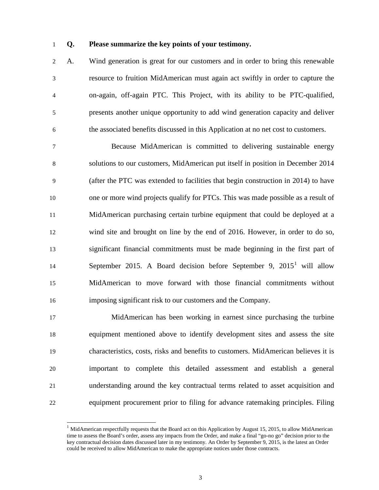$\overline{a}$ 

#### 1 **Q. Please summarize the key points of your testimony.**

2 A. Wind generation is great for our customers and in order to bring this renewable 3 resource to fruition MidAmerican must again act swiftly in order to capture the 4 on-again, off-again PTC. This Project, with its ability to be PTC-qualified, 5 presents another unique opportunity to add wind generation capacity and deliver 6 the associated benefits discussed in this Application at no net cost to customers.

7 Because MidAmerican is committed to delivering sustainable energy 8 solutions to our customers, MidAmerican put itself in position in December 2014 9 (after the PTC was extended to facilities that begin construction in 2014) to have one or more wind projects qualify for PTCs. This was made possible as a result of MidAmerican purchasing certain turbine equipment that could be deployed at a wind site and brought on line by the end of 2016. However, in order to do so, significant financial commitments must be made beginning in the first part of 4 September 2015. A Board decision before September 9,  $2015<sup>1</sup>$  will allow MidAmerican to move forward with those financial commitments without imposing significant risk to our customers and the Company.

17 MidAmerican has been working in earnest since purchasing the turbine equipment mentioned above to identify development sites and assess the site characteristics, costs, risks and benefits to customers. MidAmerican believes it is important to complete this detailed assessment and establish a general understanding around the key contractual terms related to asset acquisition and equipment procurement prior to filing for advance ratemaking principles. Filing

<span id="page-2-0"></span> $1$  MidAmerican respectfully requests that the Board act on this Application by August 15, 2015, to allow MidAmerican time to assess the Board's order, assess any impacts from the Order, and make a final "go-no go" decision prior to the key contractual decision dates discussed later in my testimony. An Order by September 9, 2015, is the latest an Order could be received to allow MidAmerican to make the appropriate notices under those contracts.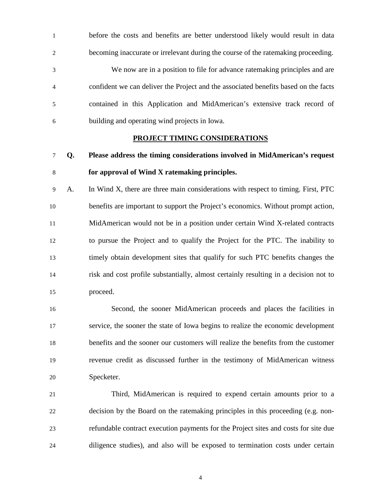1 before the costs and benefits are better understood likely would result in data 2 becoming inaccurate or irrelevant during the course of the ratemaking proceeding.

3 We now are in a position to file for advance ratemaking principles and are 4 confident we can deliver the Project and the associated benefits based on the facts 5 contained in this Application and MidAmerican's extensive track record of 6 building and operating wind projects in Iowa.

#### **PROJECT TIMING CONSIDERATIONS**

# **Q. Please address the timing considerations involved in MidAmerican's request**

### **for approval of Wind X ratemaking principles.**

9 A. In Wind X, there are three main considerations with respect to timing. First, PTC benefits are important to support the Project's economics. Without prompt action, MidAmerican would not be in a position under certain Wind X-related contracts to pursue the Project and to qualify the Project for the PTC. The inability to timely obtain development sites that qualify for such PTC benefits changes the risk and cost profile substantially, almost certainly resulting in a decision not to proceed.

16 Second, the sooner MidAmerican proceeds and places the facilities in service, the sooner the state of Iowa begins to realize the economic development benefits and the sooner our customers will realize the benefits from the customer revenue credit as discussed further in the testimony of MidAmerican witness Specketer.

21 Third, MidAmerican is required to expend certain amounts prior to a decision by the Board on the ratemaking principles in this proceeding (e.g. non- refundable contract execution payments for the Project sites and costs for site due diligence studies), and also will be exposed to termination costs under certain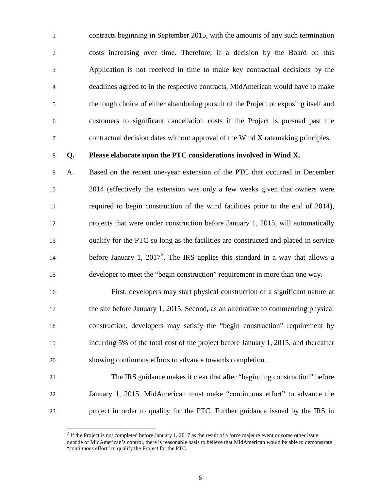1 contracts beginning in September 2015, with the amounts of any such termination 2 costs increasing over time. Therefore, if a decision by the Board on this 3 Application is not received in time to make key contractual decisions by the 4 deadlines agreed to in the respective contracts, MidAmerican would have to make 5 the tough choice of either abandoning pursuit of the Project or exposing itself and 6 customers to significant cancellation costs if the Project is pursued past the 7 contractual decision dates without approval of the Wind X ratemaking principles.

 $\overline{a}$ 

### 8 **Q. Please elaborate upon the PTC considerations involved in Wind X.**

9 A. Based on the recent one-year extension of the PTC that occurred in December 2014 (effectively the extension was only a few weeks given that owners were required to begin construction of the wind facilities prior to the end of 2014), projects that were under construction before January 1, 2015, will automatically qualify for the PTC so long as the facilities are constructed and placed in service before January 1,  $2017^2$  $2017^2$ . The IRS applies this standard in a way that allows a developer to meet the "begin construction" requirement in more than one way.

16 First, developers may start physical construction of a significant nature at the site before January 1, 2015. Second, as an alternative to commencing physical construction, developers may satisfy the "begin construction" requirement by incurring 5% of the total cost of the project before January 1, 2015, and thereafter showing continuous efforts to advance towards completion.

# 21 The IRS guidance makes it clear that after "beginning construction" before 22 January 1, 2015, MidAmerican must make "continuous effort" to advance the 23 project in order to qualify for the PTC. Further guidance issued by the IRS in

<span id="page-4-0"></span> $2$  If the Project is not completed before January 1, 2017 as the result of a force majeure event or some other issue outside of MidAmerican's control, there is reasonable basis to believe that MidAmerican would be able to demonstrate "continuous effort" to qualify the Project for the PTC.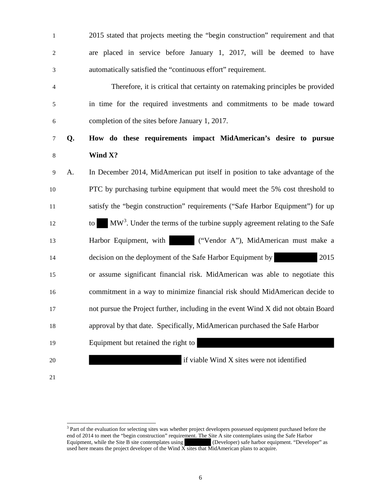| $\mathbf{1}$   |    | 2015 stated that projects meeting the "begin construction" requirement and that              |
|----------------|----|----------------------------------------------------------------------------------------------|
| $\overline{c}$ |    | are placed in service before January 1, 2017, will be deemed to have                         |
| 3              |    | automatically satisfied the "continuous effort" requirement.                                 |
| 4              |    | Therefore, it is critical that certainty on ratemaking principles be provided                |
| 5              |    | in time for the required investments and commitments to be made toward                       |
| 6              |    | completion of the sites before January 1, 2017.                                              |
| $\tau$         | Q. | How do these requirements impact MidAmerican's desire to pursue                              |
| $8\,$          |    | Wind X?                                                                                      |
| 9              | A. | In December 2014, MidAmerican put itself in position to take advantage of the                |
| 10             |    | PTC by purchasing turbine equipment that would meet the 5% cost threshold to                 |
| 11             |    | satisfy the "begin construction" requirements ("Safe Harbor Equipment") for up               |
| 12             |    | MW <sup>3</sup> . Under the terms of the turbine supply agreement relating to the Safe<br>to |
| 13             |    | ("Vendor A"), MidAmerican must make a<br>Harbor Equipment, with                              |
| 14             |    | decision on the deployment of the Safe Harbor Equipment by<br>2015                           |
| 15             |    | or assume significant financial risk. MidAmerican was able to negotiate this                 |
| 16             |    | commitment in a way to minimize financial risk should MidAmerican decide to                  |
| 17             |    | not pursue the Project further, including in the event Wind X did not obtain Board           |
| 18             |    | approval by that date. Specifically, MidAmerican purchased the Safe Harbor                   |
| 19             |    | Equipment but retained the right to                                                          |
| 20             |    | if viable Wind X sites were not identified                                                   |
| 21             |    |                                                                                              |

<span id="page-5-0"></span><sup>&</sup>lt;sup>3</sup> Part of the evaluation for selecting sites was whether project developers possessed equipment purchased before the end of 2014 to meet the "begin construction" requirement. The Site A site contemplates using the Safe Harbor Equipment, while the Site B site contemplates using (Developer) safe harbor equipment. "Developer" as used here means the project developer of the Wind X sites that MidAmerican plans to acquire.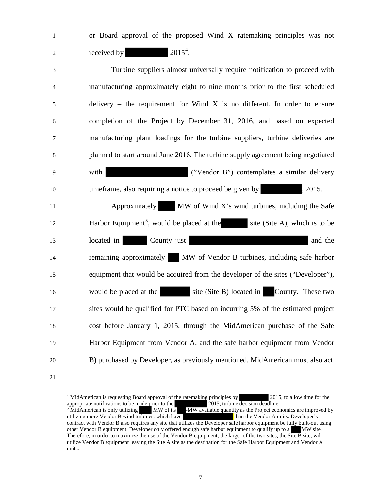1 or Board approval of the proposed Wind X ratemaking principles was not 2 received by  $2015<sup>4</sup>$  $2015<sup>4</sup>$  $2015<sup>4</sup>$ .

3 Turbine suppliers almost universally require notification to proceed with 4 manufacturing approximately eight to nine months prior to the first scheduled 5 delivery – the requirement for Wind X is no different. In order to ensure 6 completion of the Project by December 31, 2016, and based on expected 7 manufacturing plant loadings for the turbine suppliers, turbine deliveries are 8 planned to start around June 2016. The turbine supply agreement being negotiated 9 with ("Vendor B") contemplates a similar delivery 10 time frame, also requiring a notice to proceed be given by , 2015. 11 Approximately MW of Wind X's wind turbines, including the Safe Harbor Equipment<sup>[5](#page-6-1)</sup>, would be placed at the site (Site A), which is to be 13 located in County just county and the county of the county of the county of the county of the county and the county and the county of the county in the county of the county of the county of the county of the county of t 14 remaining approximately MW of Vendor B turbines, including safe harbor 15 equipment that would be acquired from the developer of the sites ("Developer"), 16 would be placed at the site (Site B) located in County. These two 17 sites would be qualified for PTC based on incurring 5% of the estimated project 18 cost before January 1, 2015, through the MidAmerican purchase of the Safe 19 Harbor Equipment from Vendor A, and the safe harbor equipment from Vendor 20 B) purchased by Developer, as previously mentioned. MidAmerican must also act

<span id="page-6-1"></span><span id="page-6-0"></span>21

<sup>&</sup>lt;sup>4</sup> MidAmerican is requesting Board approval of the ratemaking principles by 2015, to allow time for the appropriate notifications to be made prior to the 2015, turbine decision deadline.<br>
<sup>5</sup> MidAmerican is only utilizing MW of its -MW available quantity as the Project economics are improved by utilizing more Vendor B wind utilizing more Vendor B wind turbines, which have contract with Vendor B also requires any site that utilizes the Developer safe harbor equipment be fully built-out using other Vendor B equipment. Developer only offered enough safe harbor equipment to qualify up to a MW site. Therefore, in order to maximize the use of the Vendor B equipment, the larger of the two sites, the Site B site, will utilize Vendor B equipment leaving the Site A site as the destination for the Safe Harbor Equipment and Vendor A units.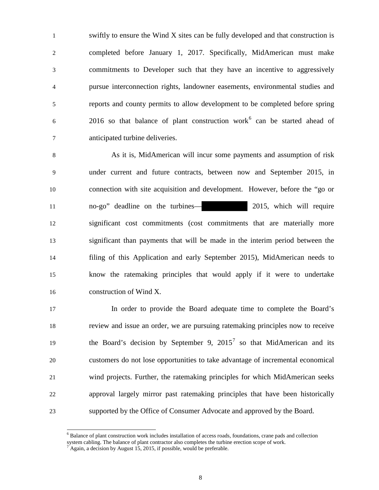1 swiftly to ensure the Wind X sites can be fully developed and that construction is 2 completed before January 1, 2017. Specifically, MidAmerican must make 3 commitments to Developer such that they have an incentive to aggressively 4 pursue interconnection rights, landowner easements, environmental studies and 5 reports and county permits to allow development to be completed before spring  $2016$  $2016$  so that balance of plant construction work<sup>6</sup> can be started ahead of 7 anticipated turbine deliveries.

8 As it is, MidAmerican will incur some payments and assumption of risk 9 under current and future contracts, between now and September 2015, in connection with site acquisition and development. However, before the "go or no-go" deadline on the turbines— 2015, which will require significant cost commitments (cost commitments that are materially more significant than payments that will be made in the interim period between the filing of this Application and early September 2015), MidAmerican needs to know the ratemaking principles that would apply if it were to undertake construction of Wind X.

17 In order to provide the Board adequate time to complete the Board's review and issue an order, we are pursuing ratemaking principles now to receive the Board's decision by September 9,  $2015<sup>7</sup>$  $2015<sup>7</sup>$  $2015<sup>7</sup>$  so that MidAmerican and its customers do not lose opportunities to take advantage of incremental economical wind projects. Further, the ratemaking principles for which MidAmerican seeks approval largely mirror past ratemaking principles that have been historically supported by the Office of Consumer Advocate and approved by the Board.

<span id="page-7-1"></span><span id="page-7-0"></span><sup>&</sup>lt;sup>6</sup> Balance of plant construction work includes installation of access roads, foundations, crane pads and collection system cabling. The balance of plant contractor also completes the turbine erection scope of work.  $^7$  Again, a decision by August 15, 2015, if possible, would be preferable.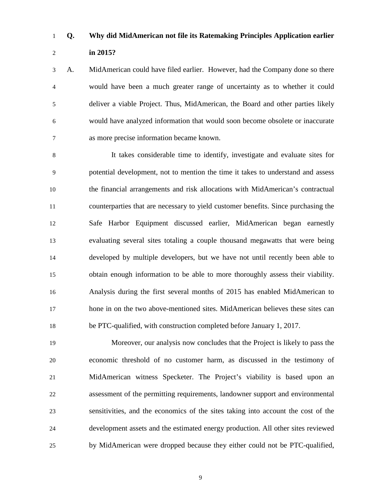# **Q. Why did MidAmerican not file its Ratemaking Principles Application earlier**

### **in 2015?**

3 A. MidAmerican could have filed earlier. However, had the Company done so there 4 would have been a much greater range of uncertainty as to whether it could 5 deliver a viable Project. Thus, MidAmerican, the Board and other parties likely 6 would have analyzed information that would soon become obsolete or inaccurate 7 as more precise information became known.

8 It takes considerable time to identify, investigate and evaluate sites for 9 potential development, not to mention the time it takes to understand and assess the financial arrangements and risk allocations with MidAmerican's contractual counterparties that are necessary to yield customer benefits. Since purchasing the Safe Harbor Equipment discussed earlier, MidAmerican began earnestly evaluating several sites totaling a couple thousand megawatts that were being developed by multiple developers, but we have not until recently been able to obtain enough information to be able to more thoroughly assess their viability. Analysis during the first several months of 2015 has enabled MidAmerican to hone in on the two above-mentioned sites. MidAmerican believes these sites can be PTC-qualified, with construction completed before January 1, 2017.

19 Moreover, our analysis now concludes that the Project is likely to pass the economic threshold of no customer harm, as discussed in the testimony of MidAmerican witness Specketer. The Project's viability is based upon an assessment of the permitting requirements, landowner support and environmental sensitivities, and the economics of the sites taking into account the cost of the development assets and the estimated energy production. All other sites reviewed by MidAmerican were dropped because they either could not be PTC-qualified,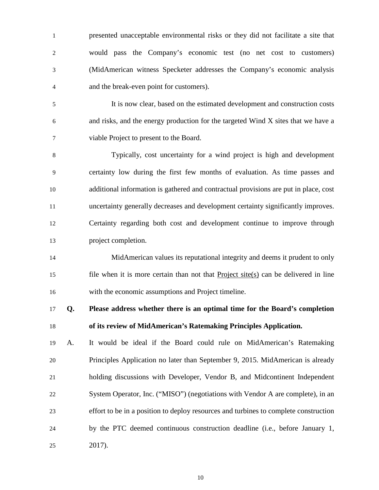1 presented unacceptable environmental risks or they did not facilitate a site that 2 would pass the Company's economic test (no net cost to customers) 3 (MidAmerican witness Specketer addresses the Company's economic analysis 4 and the break-even point for customers).

5 It is now clear, based on the estimated development and construction costs 6 and risks, and the energy production for the targeted Wind X sites that we have a 7 viable Project to present to the Board.

8 Typically, cost uncertainty for a wind project is high and development 9 certainty low during the first few months of evaluation. As time passes and additional information is gathered and contractual provisions are put in place, cost uncertainty generally decreases and development certainty significantly improves. Certainty regarding both cost and development continue to improve through project completion.

14 MidAmerican values its reputational integrity and deems it prudent to only 15 file when it is more certain than not that **Project** site(s) can be delivered in line 16 with the economic assumptions and Project timeline.

17 **Q. Please address whether there is an optimal time for the Board's completion**  18 **of its review of MidAmerican's Ratemaking Principles Application.** 

 A. It would be ideal if the Board could rule on MidAmerican's Ratemaking Principles Application no later than September 9, 2015. MidAmerican is already holding discussions with Developer, Vendor B, and Midcontinent Independent System Operator, Inc. ("MISO") (negotiations with Vendor A are complete), in an effort to be in a position to deploy resources and turbines to complete construction by the PTC deemed continuous construction deadline (i.e., before January 1, 25 2017).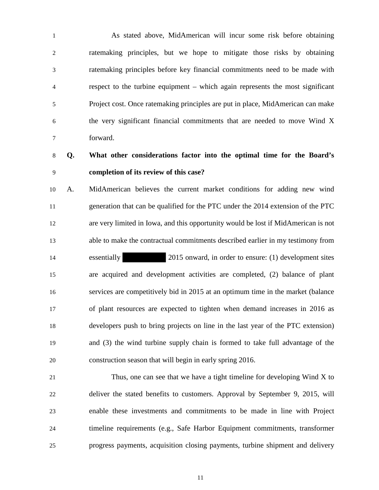1 As stated above, MidAmerican will incur some risk before obtaining 2 ratemaking principles, but we hope to mitigate those risks by obtaining 3 ratemaking principles before key financial commitments need to be made with 4 respect to the turbine equipment – which again represents the most significant 5 Project cost. Once ratemaking principles are put in place, MidAmerican can make 6 the very significant financial commitments that are needed to move Wind X 7 forward.

# **Q. What other considerations factor into the optimal time for the Board's completion of its review of this case?**

 A. MidAmerican believes the current market conditions for adding new wind generation that can be qualified for the PTC under the 2014 extension of the PTC are very limited in Iowa, and this opportunity would be lost if MidAmerican is not able to make the contractual commitments described earlier in my testimony from essentially 2015 onward, in order to ensure: (1) development sites are acquired and development activities are completed, (2) balance of plant services are competitively bid in 2015 at an optimum time in the market (balance of plant resources are expected to tighten when demand increases in 2016 as developers push to bring projects on line in the last year of the PTC extension) and (3) the wind turbine supply chain is formed to take full advantage of the construction season that will begin in early spring 2016.

21 Thus, one can see that we have a tight timeline for developing Wind X to deliver the stated benefits to customers. Approval by September 9, 2015, will enable these investments and commitments to be made in line with Project timeline requirements (e.g., Safe Harbor Equipment commitments, transformer progress payments, acquisition closing payments, turbine shipment and delivery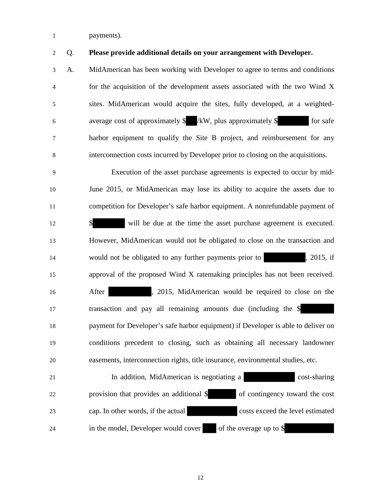- 1 payments).
- 

### 2 Q. **Please provide additional details on your arrangement with Developer.**

3 A. MidAmerican has been working with Developer to agree to terms and conditions 4 for the acquisition of the development assets associated with the two Wind X 5 sites. MidAmerican would acquire the sites, fully developed, at a weighted-6 average cost of approximately  $\frac{1}{8}$  /kW, plus approximately  $\frac{1}{8}$  for safe 7 harbor equipment to qualify the Site B project, and reimbursement for any 8 interconnection costs incurred by Developer prior to closing on the acquisitions.

9 Execution of the asset purchase agreements is expected to occur by mid- June 2015, or MidAmerican may lose its ability to acquire the assets due to competition for Developer's safe harbor equipment. A nonrefundable payment of **\$** will be due at the time the asset purchase agreement is executed. However, MidAmerican would not be obligated to close on the transaction and would not be obligated to any further payments prior to , 2015, if approval of the proposed Wind X ratemaking principles has not been received. 16 After , 2015, MidAmerican would be required to close on the transaction and pay all remaining amounts due (including the \$ payment for Developer's safe harbor equipment) if Developer is able to deliver on conditions precedent to closing, such as obtaining all necessary landowner easements, interconnection rights, title insurance, environmental studies, etc.

21 In addition, MidAmerican is negotiating a cost-sharing 22 provision that provides an additional \$ of contingency toward the cost 23 cap. In other words, if the actual costs exceed the level estimated 24 in the model, Developer would cover of the overage up to \$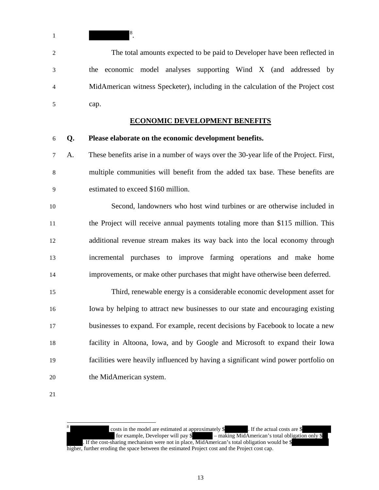1 <sup>[8](#page-12-0)</sup>.

2 The total amounts expected to be paid to Developer have been reflected in 3 the economic model analyses supporting Wind X (and addressed by 4 MidAmerican witness Specketer), including in the calculation of the Project cost 5 cap.

### **ECONOMIC DEVELOPMENT BENEFITS**

#### 6 **Q. Please elaborate on the economic development benefits.**

7 A. These benefits arise in a number of ways over the 30-year life of the Project. First, 8 multiple communities will benefit from the added tax base. These benefits are 9 estimated to exceed \$160 million.

10 Second, landowners who host wind turbines or are otherwise included in the Project will receive annual payments totaling more than \$115 million. This additional revenue stream makes its way back into the local economy through incremental purchases to improve farming operations and make home improvements, or make other purchases that might have otherwise been deferred.

15 Third, renewable energy is a considerable economic development asset for Iowa by helping to attract new businesses to our state and encouraging existing businesses to expand. For example, recent decisions by Facebook to locate a new facility in Altoona, Iowa, and by Google and Microsoft to expand their Iowa facilities were heavily influenced by having a significant wind power portfolio on the MidAmerican system.

<span id="page-12-0"></span>21

 $\overline{a}$ 

costs in the model are estimated at approximately  $\frac{1}{8}$ . If the actual costs are  $\frac{1}{8}$  for example, Developer will pay  $\frac{1}{8}$  - making MidAmerican's total obligation  $-$  making MidAmerican's total obligation only \$ . If the cost-sharing mechanism were not in place, MidAmerican's total obligation would be \$ higher, further eroding the space between the estimated Project cost and the Project cost cap.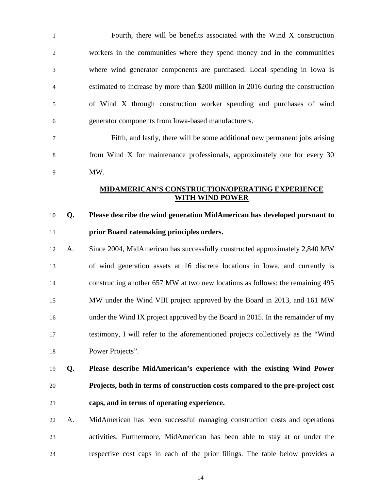1 Fourth, there will be benefits associated with the Wind X construction 2 workers in the communities where they spend money and in the communities 3 where wind generator components are purchased. Local spending in Iowa is 4 estimated to increase by more than \$200 million in 2016 during the construction 5 of Wind X through construction worker spending and purchases of wind 6 generator components from Iowa-based manufacturers.

7 Fifth, and lastly, there will be some additional new permanent jobs arising 8 from Wind X for maintenance professionals, approximately one for every 30 9 MW.

### **MIDAMERICAN'S CONSTRUCTION/OPERATING EXPERIENCE WITH WIND POWER**

# 10 **Q. Please describe the wind generation MidAmerican has developed pursuant to**  11 **prior Board ratemaking principles orders.**

 A. Since 2004, MidAmerican has successfully constructed approximately 2,840 MW of wind generation assets at 16 discrete locations in Iowa, and currently is constructing another 657 MW at two new locations as follows: the remaining 495 MW under the Wind VIII project approved by the Board in 2013, and 161 MW under the Wind IX project approved by the Board in 2015. In the remainder of my testimony, I will refer to the aforementioned projects collectively as the "Wind Power Projects".

# 19 **Q. Please describe MidAmerican's experience with the existing Wind Power**  20 **Projects, both in terms of construction costs compared to the pre-project cost**  21 **caps, and in terms of operating experience.**

22 A. MidAmerican has been successful managing construction costs and operations 23 activities. Furthermore, MidAmerican has been able to stay at or under the 24 respective cost caps in each of the prior filings. The table below provides a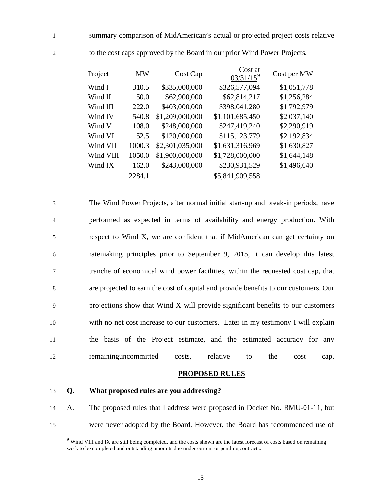1 summary comparison of MidAmerican's actual or projected project costs relative

| Project   | MW     | Cost Cap        | Cost at<br>$03/31/15^9$ | Cost per MW |
|-----------|--------|-----------------|-------------------------|-------------|
| Wind I    | 310.5  | \$335,000,000   | \$326,577,094           | \$1,051,778 |
| Wind II   | 50.0   | \$62,900,000    | \$62,814,217            | \$1,256,284 |
| Wind III  | 222.0  | \$403,000,000   | \$398,041,280           | \$1,792,979 |
| Wind IV   | 540.8  | \$1,209,000,000 | \$1,101,685,450         | \$2,037,140 |
| Wind V    | 108.0  | \$248,000,000   | \$247,419,240           | \$2,290,919 |
| Wind VI   | 52.5   | \$120,000,000   | \$115,123,779           | \$2,192,834 |
| Wind VII  | 1000.3 | \$2,301,035,000 | \$1,631,316,969         | \$1,630,827 |
| Wind VIII | 1050.0 | \$1,900,000,000 | \$1,728,000,000         | \$1,644,148 |
| Wind IX   | 162.0  | \$243,000,000   | \$230,931,529           | \$1,496,640 |
|           | 2284.1 |                 | \$5,841,909,558         |             |

2 to the cost caps approved by the Board in our prior Wind Power Projects.

3 The Wind Power Projects, after normal initial start-up and break-in periods, have 4 performed as expected in terms of availability and energy production. With 5 respect to Wind X, we are confident that if MidAmerican can get certainty on 6 ratemaking principles prior to September 9, 2015, it can develop this latest 7 tranche of economical wind power facilities, within the requested cost cap, that 8 are projected to earn the cost of capital and provide benefits to our customers. Our 9 projections show that Wind X will provide significant benefits to our customers 10 with no net cost increase to our customers. Later in my testimony I will explain 11 the basis of the Project estimate, and the estimated accuracy for any 12 remaininguncommitted costs, relative to the cost cap.

#### **PROPOSED RULES**

#### 13 **Q. What proposed rules are you addressing?**

 $\overline{a}$ 

<span id="page-14-0"></span>14 A. The proposed rules that I address were proposed in Docket No. RMU-01-11, but 15 were never adopted by the Board. However, the Board has recommended use of

<sup>&</sup>lt;sup>9</sup> Wind VIII and IX are still being completed, and the costs shown are the latest forecast of costs based on remaining work to be completed and outstanding amounts due under current or pending contracts.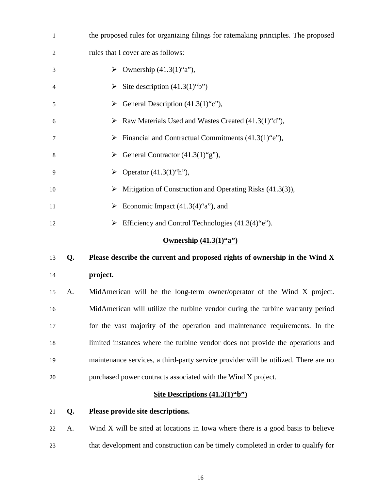| $\mathbf{1}$                                      |    | the proposed rules for organizing filings for ratemaking principles. The proposed   |  |
|---------------------------------------------------|----|-------------------------------------------------------------------------------------|--|
| $\overline{c}$                                    |    | rules that I cover are as follows:                                                  |  |
| 3                                                 |    | $\triangleright$ Ownership (41.3(1)"a"),                                            |  |
| 4                                                 |    | Site description $(41.3(1)$ "b")<br>➤                                               |  |
| 5                                                 |    | General Description (41.3(1)"c"),<br>➤                                              |  |
| 6                                                 |    | Raw Materials Used and Wastes Created (41.3(1)"d"),                                 |  |
| 7                                                 |    | $\triangleright$ Financial and Contractual Commitments (41.3(1) "e"),               |  |
| 8                                                 |    | General Contractor (41.3(1)"g"),<br>➤                                               |  |
| 9                                                 |    | $\triangleright$ Operator (41.3(1)"h"),                                             |  |
| 10                                                |    | Mitigation of Construction and Operating Risks (41.3(3)),<br>➤                      |  |
| 11                                                |    | Economic Impact $(41.3(4)$ "a"), and<br>➤                                           |  |
| 12                                                |    | Efficiency and Control Technologies $(41.3(4)$ "e").<br>➤                           |  |
| <b>Ownership <math>(41.3(1)^{4}a^{3})</math></b>  |    |                                                                                     |  |
| 13                                                | Q. | Please describe the current and proposed rights of ownership in the Wind X          |  |
| 14                                                |    | project.                                                                            |  |
| 15                                                | A. | MidAmerican will be the long-term owner/operator of the Wind X project.             |  |
| 16                                                |    | MidAmerican will utilize the turbine vendor during the turbine warranty period      |  |
| 17                                                |    | for the vast majority of the operation and maintenance requirements. In the         |  |
| 18                                                |    | limited instances where the turbine vendor does not provide the operations and      |  |
| 19                                                |    | maintenance services, a third-party service provider will be utilized. There are no |  |
| 20                                                |    | purchased power contracts associated with the Wind X project.                       |  |
| Site Descriptions $(41.3(1)^{6}b^{\prime\prime})$ |    |                                                                                     |  |
| 21                                                | Q. | Please provide site descriptions.                                                   |  |
| 22                                                | A. | Wind X will be sited at locations in Iowa where there is a good basis to believe    |  |
| 23                                                |    | that development and construction can be timely completed in order to qualify for   |  |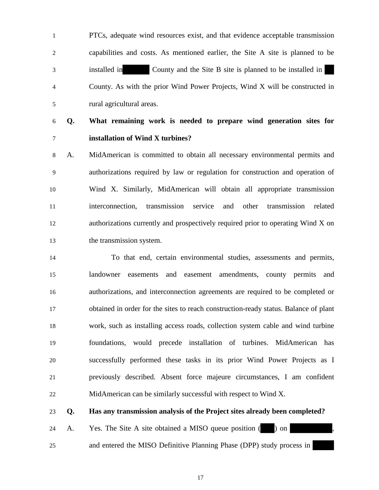1 PTCs, adequate wind resources exist, and that evidence acceptable transmission 2 capabilities and costs. As mentioned earlier, the Site A site is planned to be 3 installed in County and the Site B site is planned to be installed in 4 County. As with the prior Wind Power Projects, Wind X will be constructed in 5 rural agricultural areas.

**Q. What remaining work is needed to prepare wind generation sites for installation of Wind X turbines?**

8 A. MidAmerican is committed to obtain all necessary environmental permits and 9 authorizations required by law or regulation for construction and operation of Wind X. Similarly, MidAmerican will obtain all appropriate transmission interconnection, transmission service and other transmission related authorizations currently and prospectively required prior to operating Wind X on the transmission system.

14 To that end, certain environmental studies, assessments and permits, landowner easements and easement amendments, county permits and authorizations, and interconnection agreements are required to be completed or obtained in order for the sites to reach construction-ready status. Balance of plant work, such as installing access roads, collection system cable and wind turbine foundations, would precede installation of turbines. MidAmerican has successfully performed these tasks in its prior Wind Power Projects as I previously described. Absent force majeure circumstances, I am confident MidAmerican can be similarly successful with respect to Wind X.

**Q. Has any transmission analysis of the Project sites already been completed?** 

24 A. Yes. The Site A site obtained a MISO queue position ( ) on

and entered the MISO Definitive Planning Phase (DPP) study process in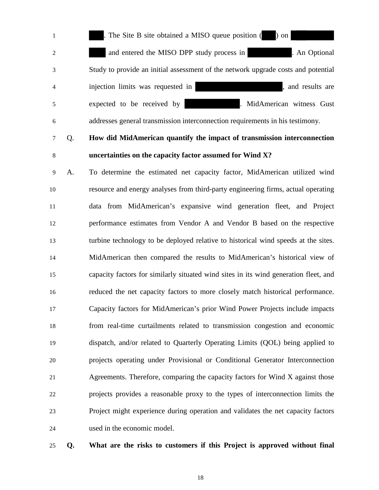1 . The Site B site obtained a MISO queue position ( ) on 2 and entered the MISO DPP study process in . An Optional 3 Study to provide an initial assessment of the network upgrade costs and potential 4 injection limits was requested in , and results are 5 expected to be received by . MidAmerican witness Gust

6 addresses general transmission interconnection requirements in his testimony.

# 7 Q. **How did MidAmerican quantify the impact of transmission interconnection uncertainties on the capacity factor assumed for Wind X?**

9 A. To determine the estimated net capacity factor, MidAmerican utilized wind resource and energy analyses from third-party engineering firms, actual operating data from MidAmerican's expansive wind generation fleet, and Project performance estimates from Vendor A and Vendor B based on the respective turbine technology to be deployed relative to historical wind speeds at the sites. MidAmerican then compared the results to MidAmerican's historical view of capacity factors for similarly situated wind sites in its wind generation fleet, and reduced the net capacity factors to more closely match historical performance. Capacity factors for MidAmerican's prior Wind Power Projects include impacts from real-time curtailments related to transmission congestion and economic dispatch, and/or related to Quarterly Operating Limits (QOL) being applied to projects operating under Provisional or Conditional Generator Interconnection Agreements. Therefore, comparing the capacity factors for Wind X against those projects provides a reasonable proxy to the types of interconnection limits the Project might experience during operation and validates the net capacity factors used in the economic model.

### **Q. What are the risks to customers if this Project is approved without final**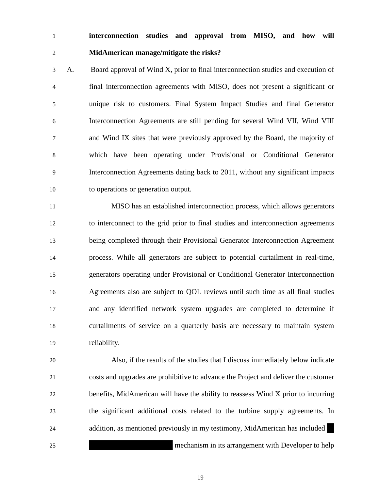# **interconnection studies and approval from MISO, and how will MidAmerican manage/mitigate the risks?**

3 A. Board approval of Wind X, prior to final interconnection studies and execution of 4 final interconnection agreements with MISO, does not present a significant or 5 unique risk to customers. Final System Impact Studies and final Generator 6 Interconnection Agreements are still pending for several Wind VII, Wind VIII 7 and Wind IX sites that were previously approved by the Board, the majority of 8 which have been operating under Provisional or Conditional Generator 9 Interconnection Agreements dating back to 2011, without any significant impacts to operations or generation output.

 MISO has an established interconnection process, which allows generators to interconnect to the grid prior to final studies and interconnection agreements being completed through their Provisional Generator Interconnection Agreement process. While all generators are subject to potential curtailment in real-time, generators operating under Provisional or Conditional Generator Interconnection Agreements also are subject to QOL reviews until such time as all final studies and any identified network system upgrades are completed to determine if curtailments of service on a quarterly basis are necessary to maintain system reliability.

 Also, if the results of the studies that I discuss immediately below indicate costs and upgrades are prohibitive to advance the Project and deliver the customer benefits, MidAmerican will have the ability to reassess Wind X prior to incurring the significant additional costs related to the turbine supply agreements. In addition, as mentioned previously in my testimony, MidAmerican has included mechanism in its arrangement with Developer to help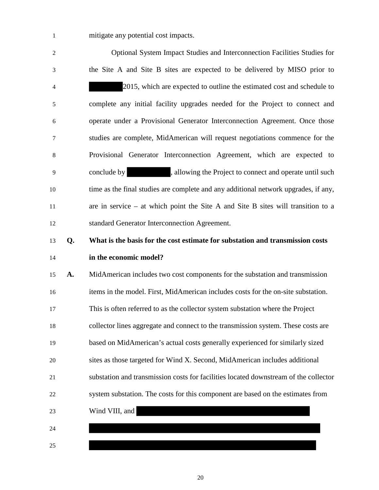1 mitigate any potential cost impacts.

2 Optional System Impact Studies and Interconnection Facilities Studies for 3 the Site A and Site B sites are expected to be delivered by MISO prior to 4 2015, which are expected to outline the estimated cost and schedule to 5 complete any initial facility upgrades needed for the Project to connect and 6 operate under a Provisional Generator Interconnection Agreement. Once those 7 studies are complete, MidAmerican will request negotiations commence for the 8 Provisional Generator Interconnection Agreement, which are expected to 9 conclude by , allowing the Project to connect and operate until such time as the final studies are complete and any additional network upgrades, if any, are in service – at which point the Site A and Site B sites will transition to a standard Generator Interconnection Agreement. **Q. What is the basis for the cost estimate for substation and transmission costs in the economic model? A.** MidAmerican includes two cost components for the substation and transmission items in the model. First, MidAmerican includes costs for the on-site substation. This is often referred to as the collector system substation where the Project collector lines aggregate and connect to the transmission system. These costs are based on MidAmerican's actual costs generally experienced for similarly sized sites as those targeted for Wind X. Second, MidAmerican includes additional substation and transmission costs for facilities located downstream of the collector system substation. The costs for this component are based on the estimates from Wind VIII, and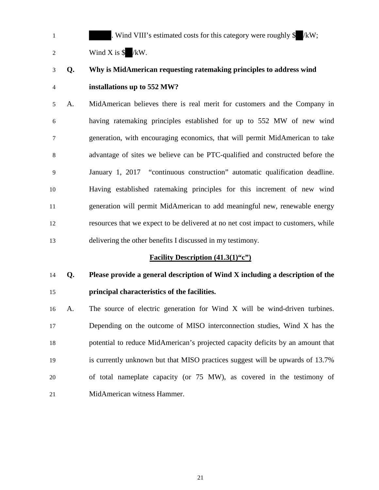1 . Wind VIII's estimated costs for this category were roughly \$ /kW; 2 Wind X is  $\sqrt{kW}$ .

# **Q. Why is MidAmerican requesting ratemaking principles to address wind installations up to 552 MW?**

5 A. MidAmerican believes there is real merit for customers and the Company in 6 having ratemaking principles established for up to 552 MW of new wind 7 generation, with encouraging economics, that will permit MidAmerican to take 8 advantage of sites we believe can be PTC-qualified and constructed before the 9 January 1, 2017 "continuous construction" automatic qualification deadline. Having established ratemaking principles for this increment of new wind generation will permit MidAmerican to add meaningful new, renewable energy resources that we expect to be delivered at no net cost impact to customers, while delivering the other benefits I discussed in my testimony.

### **Facility Description (41.3(1)"c")**

# **Q. Please provide a general description of Wind X including a description of the principal characteristics of the facilities.**

 A. The source of electric generation for Wind X will be wind-driven turbines. Depending on the outcome of MISO interconnection studies, Wind X has the potential to reduce MidAmerican's projected capacity deficits by an amount that is currently unknown but that MISO practices suggest will be upwards of 13.7% of total nameplate capacity (or 75 MW), as covered in the testimony of MidAmerican witness Hammer.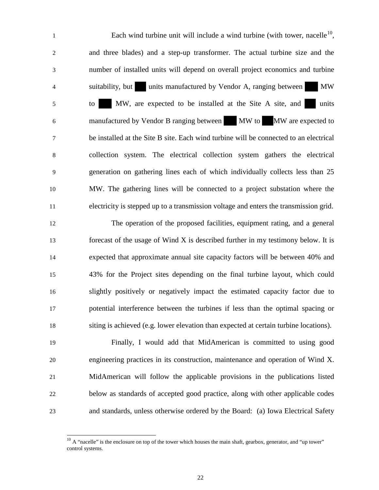Each wind turbine unit will include a wind turbine (with tower, nacelle<sup>[10](#page-21-0)</sup>, 2 and three blades) and a step-up transformer. The actual turbine size and the 3 number of installed units will depend on overall project economics and turbine 4 suitability, but units manufactured by Vendor A, ranging between MW 5 to MW, are expected to be installed at the Site A site, and units 6 manufactured by Vendor B ranging between MW to MW are expected to 7 be installed at the Site B site. Each wind turbine will be connected to an electrical 8 collection system. The electrical collection system gathers the electrical 9 generation on gathering lines each of which individually collects less than 25 10 MW. The gathering lines will be connected to a project substation where the 11 electricity is stepped up to a transmission voltage and enters the transmission grid.

 The operation of the proposed facilities, equipment rating, and a general forecast of the usage of Wind X is described further in my testimony below. It is expected that approximate annual site capacity factors will be between 40% and 43% for the Project sites depending on the final turbine layout, which could slightly positively or negatively impact the estimated capacity factor due to potential interference between the turbines if less than the optimal spacing or siting is achieved (e.g. lower elevation than expected at certain turbine locations).

 Finally, I would add that MidAmerican is committed to using good engineering practices in its construction, maintenance and operation of Wind X. MidAmerican will follow the applicable provisions in the publications listed below as standards of accepted good practice, along with other applicable codes and standards, unless otherwise ordered by the Board: (a) Iowa Electrical Safety

<span id="page-21-0"></span> $10<sup>10</sup>$  A "nacelle" is the enclosure on top of the tower which houses the main shaft, gearbox, generator, and "up tower" control systems.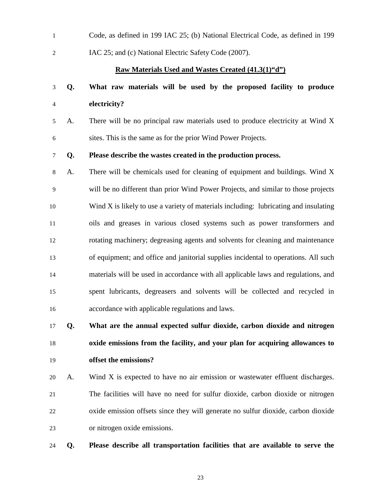| $\mathbf{1}$   |    | Code, as defined in 199 IAC 25; (b) National Electrical Code, as defined in 199      |
|----------------|----|--------------------------------------------------------------------------------------|
| $\overline{2}$ |    | IAC 25; and (c) National Electric Safety Code (2007).                                |
|                |    | <b>Raw Materials Used and Wastes Created (41.3(1)"d")</b>                            |
| 3              | Q. | What raw materials will be used by the proposed facility to produce                  |
| 4              |    | electricity?                                                                         |
| 5              | A. | There will be no principal raw materials used to produce electricity at Wind X       |
| 6              |    | sites. This is the same as for the prior Wind Power Projects.                        |
| 7              | Q. | Please describe the wastes created in the production process.                        |
| 8              | A. | There will be chemicals used for cleaning of equipment and buildings. Wind X         |
| 9              |    | will be no different than prior Wind Power Projects, and similar to those projects   |
| 10             |    | Wind X is likely to use a variety of materials including: lubricating and insulating |
| 11             |    | oils and greases in various closed systems such as power transformers and            |
| 12             |    | rotating machinery; degreasing agents and solvents for cleaning and maintenance      |
| 13             |    | of equipment; and office and janitorial supplies incidental to operations. All such  |
| 14             |    | materials will be used in accordance with all applicable laws and regulations, and   |
| 15             |    | spent lubricants, degreasers and solvents will be collected and recycled in          |
| 16             |    | accordance with applicable regulations and laws.                                     |
| 17             | Q. | What are the annual expected sulfur dioxide, carbon dioxide and nitrogen             |
| 18             |    | oxide emissions from the facility, and your plan for acquiring allowances to         |

# **offset the emissions?**

 A. Wind X is expected to have no air emission or wastewater effluent discharges. The facilities will have no need for sulfur dioxide, carbon dioxide or nitrogen oxide emission offsets since they will generate no sulfur dioxide, carbon dioxide or nitrogen oxide emissions.

**Q. Please describe all transportation facilities that are available to serve the**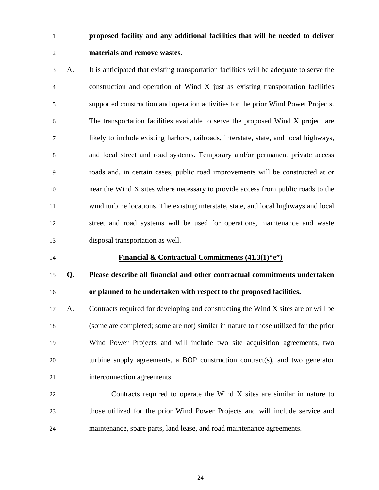# **proposed facility and any additional facilities that will be needed to deliver materials and remove wastes.**

3 A. It is anticipated that existing transportation facilities will be adequate to serve the 4 construction and operation of Wind X just as existing transportation facilities 5 supported construction and operation activities for the prior Wind Power Projects. 6 The transportation facilities available to serve the proposed Wind X project are 7 likely to include existing harbors, railroads, interstate, state, and local highways, 8 and local street and road systems. Temporary and/or permanent private access 9 roads and, in certain cases, public road improvements will be constructed at or near the Wind X sites where necessary to provide access from public roads to the wind turbine locations. The existing interstate, state, and local highways and local street and road systems will be used for operations, maintenance and waste disposal transportation as well.

### **Financial & Contractual Commitments (41.3(1)"e")**

# **Q. Please describe all financial and other contractual commitments undertaken or planned to be undertaken with respect to the proposed facilities.**

- A. Contracts required for developing and constructing the Wind X sites are or will be (some are completed; some are not) similar in nature to those utilized for the prior Wind Power Projects and will include two site acquisition agreements, two turbine supply agreements, a BOP construction contract(s), and two generator interconnection agreements.
- Contracts required to operate the Wind X sites are similar in nature to those utilized for the prior Wind Power Projects and will include service and maintenance, spare parts, land lease, and road maintenance agreements.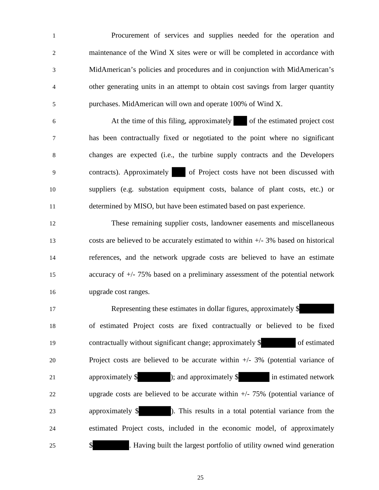1 Procurement of services and supplies needed for the operation and 2 maintenance of the Wind X sites were or will be completed in accordance with 3 MidAmerican's policies and procedures and in conjunction with MidAmerican's 4 other generating units in an attempt to obtain cost savings from larger quantity 5 purchases. MidAmerican will own and operate 100% of Wind X.

6 At the time of this filing, approximately of the estimated project cost 7 has been contractually fixed or negotiated to the point where no significant 8 changes are expected (i.e., the turbine supply contracts and the Developers 9 contracts). Approximately of Project costs have not been discussed with 10 suppliers (e.g. substation equipment costs, balance of plant costs, etc.) or 11 determined by MISO, but have been estimated based on past experience.

 These remaining supplier costs, landowner easements and miscellaneous costs are believed to be accurately estimated to within +/- 3% based on historical references, and the network upgrade costs are believed to have an estimate accuracy of +/- 75% based on a preliminary assessment of the potential network upgrade cost ranges.

17 Representing these estimates in dollar figures, approximately \$ of estimated Project costs are fixed contractually or believed to be fixed contractually without significant change; approximately \$ of estimated Project costs are believed to be accurate within +/- 3% (potential variance of 21 approximately \$ ); and approximately \$ in estimated network upgrade costs are believed to be accurate within +/- 75% (potential variance of approximately \$ ). This results in a total potential variance from the estimated Project costs, included in the economic model, of approximately 25 \$ . Having built the largest portfolio of utility owned wind generation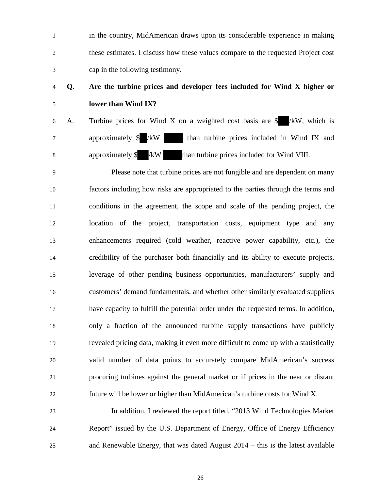1 in the country, MidAmerican draws upon its considerable experience in making 2 these estimates. I discuss how these values compare to the requested Project cost 3 cap in the following testimony.

# **Q**. **Are the turbine prices and developer fees included for Wind X higher or lower than Wind IX?**

6 A. Turbine prices for Wind X on a weighted cost basis are  $\frac{1}{2}$  /kW, which is 7 approximately \$ /kW than turbine prices included in Wind IX and 8 approximately \$ /kW than turbine prices included for Wind VIII.

9 Please note that turbine prices are not fungible and are dependent on many factors including how risks are appropriated to the parties through the terms and conditions in the agreement, the scope and scale of the pending project, the location of the project, transportation costs, equipment type and any enhancements required (cold weather, reactive power capability, etc.), the credibility of the purchaser both financially and its ability to execute projects, leverage of other pending business opportunities, manufacturers' supply and customers' demand fundamentals, and whether other similarly evaluated suppliers have capacity to fulfill the potential order under the requested terms. In addition, only a fraction of the announced turbine supply transactions have publicly revealed pricing data, making it even more difficult to come up with a statistically valid number of data points to accurately compare MidAmerican's success procuring turbines against the general market or if prices in the near or distant future will be lower or higher than MidAmerican's turbine costs for Wind X.

 In addition, I reviewed the report titled, "2013 Wind Technologies Market Report" issued by the U.S. Department of Energy, Office of Energy Efficiency and Renewable Energy, that was dated August 2014 – this is the latest available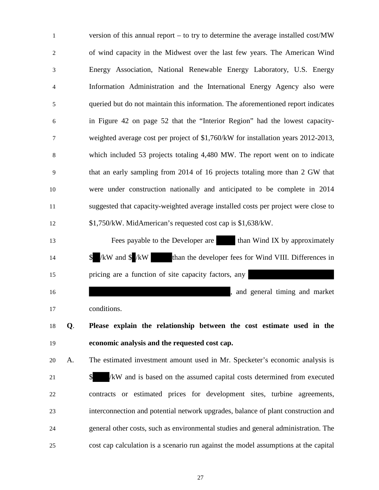1 version of this annual report – to try to determine the average installed cost/MW 2 of wind capacity in the Midwest over the last few years. The American Wind 3 Energy Association, National Renewable Energy Laboratory, U.S. Energy 4 Information Administration and the International Energy Agency also were 5 queried but do not maintain this information. The aforementioned report indicates 6 in Figure 42 on page 52 that the "Interior Region" had the lowest capacity-7 weighted average cost per project of \$1,760/kW for installation years 2012-2013, 8 which included 53 projects totaling 4,480 MW. The report went on to indicate 9 that an early sampling from 2014 of 16 projects totaling more than 2 GW that 10 were under construction nationally and anticipated to be complete in 2014 11 suggested that capacity-weighted average installed costs per project were close to 12 \$1,750/kW. MidAmerican's requested cost cap is \$1,638/kW. 13 Fees payable to the Developer are than Wind IX by approximately 14 \$ /kW and \$ /kW than the developer fees for Wind VIII. Differences in 15 pricing are a function of site capacity factors, any 16 and general timing and market the state of the state of the state of the state of the state of the state of the state of the state of the state of the state of the state of the state of the state of the state of the sta 17 conditions. 18 **Q**. **Please explain the relationship between the cost estimate used in the**  19 **economic analysis and the requested cost cap.** 20 A. The estimated investment amount used in Mr. Specketer's economic analysis is 21 \$ /kW and is based on the assumed capital costs determined from executed 22 contracts or estimated prices for development sites, turbine agreements, 23 interconnection and potential network upgrades, balance of plant construction and 24 general other costs, such as environmental studies and general administration. The 25 cost cap calculation is a scenario run against the model assumptions at the capital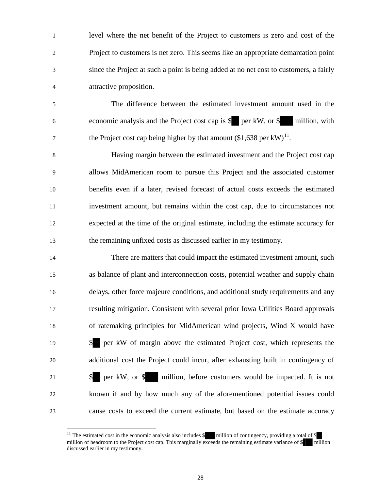1 level where the net benefit of the Project to customers is zero and cost of the 2 Project to customers is net zero. This seems like an appropriate demarcation point 3 since the Project at such a point is being added at no net cost to customers, a fairly 4 attractive proposition.

5 The difference between the estimated investment amount used in the 6 economic analysis and the Project cost cap is \$ per kW, or \$ million, with the Project cost cap being higher by that amount  $(\$1,638$  per kW)<sup>[11](#page-27-0)</sup>.

8 Having margin between the estimated investment and the Project cost cap 9 allows MidAmerican room to pursue this Project and the associated customer benefits even if a later, revised forecast of actual costs exceeds the estimated investment amount, but remains within the cost cap, due to circumstances not expected at the time of the original estimate, including the estimate accuracy for the remaining unfixed costs as discussed earlier in my testimony.

 There are matters that could impact the estimated investment amount, such as balance of plant and interconnection costs, potential weather and supply chain delays, other force majeure conditions, and additional study requirements and any resulting mitigation. Consistent with several prior Iowa Utilities Board approvals of ratemaking principles for MidAmerican wind projects, Wind X would have \$ per kW of margin above the estimated Project cost, which represents the additional cost the Project could incur, after exhausting built in contingency of **\$** per kW, or \$ million, before customers would be impacted. It is not known if and by how much any of the aforementioned potential issues could cause costs to exceed the current estimate, but based on the estimate accuracy

<span id="page-27-0"></span><sup>&</sup>lt;sup>11</sup> The estimated cost in the economic analysis also includes  $\frac{1}{\sqrt{2}}$  million of contingency, providing a total of  $\frac{1}{\sqrt{2}}$ million of headroom to the Project cost cap. This marginally exceeds the remaining estimate variance of \$ million discussed earlier in my testimony.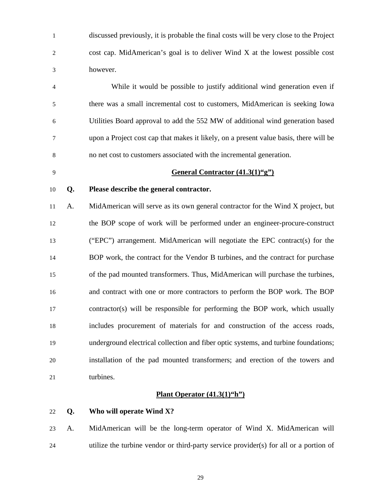1 discussed previously, it is probable the final costs will be very close to the Project 2 cost cap. MidAmerican's goal is to deliver Wind X at the lowest possible cost 3 however.

4 While it would be possible to justify additional wind generation even if 5 there was a small incremental cost to customers, MidAmerican is seeking Iowa 6 Utilities Board approval to add the 552 MW of additional wind generation based 7 upon a Project cost cap that makes it likely, on a present value basis, there will be 8 no net cost to customers associated with the incremental generation.

#### **General Contractor (41.3(1)"g")**

### **Q. Please describe the general contractor.**

 A. MidAmerican will serve as its own general contractor for the Wind X project, but the BOP scope of work will be performed under an engineer-procure-construct ("EPC") arrangement. MidAmerican will negotiate the EPC contract(s) for the BOP work, the contract for the Vendor B turbines, and the contract for purchase of the pad mounted transformers. Thus, MidAmerican will purchase the turbines, and contract with one or more contractors to perform the BOP work. The BOP contractor(s) will be responsible for performing the BOP work, which usually includes procurement of materials for and construction of the access roads, underground electrical collection and fiber optic systems, and turbine foundations; installation of the pad mounted transformers; and erection of the towers and 21 turbines.

### **Plant Operator (41.3(1)"h")**

**Q. Who will operate Wind X?** 

 A. MidAmerican will be the long-term operator of Wind X. MidAmerican will utilize the turbine vendor or third-party service provider(s) for all or a portion of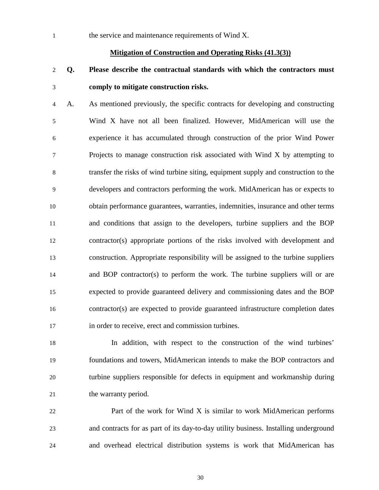1 the service and maintenance requirements of Wind X.

#### **Mitigation of Construction and Operating Risks (41.3(3))**

# **Q. Please describe the contractual standards with which the contractors must comply to mitigate construction risks.**

4 A. As mentioned previously, the specific contracts for developing and constructing 5 Wind X have not all been finalized. However, MidAmerican will use the 6 experience it has accumulated through construction of the prior Wind Power 7 Projects to manage construction risk associated with Wind X by attempting to 8 transfer the risks of wind turbine siting, equipment supply and construction to the 9 developers and contractors performing the work. MidAmerican has or expects to obtain performance guarantees, warranties, indemnities, insurance and other terms and conditions that assign to the developers, turbine suppliers and the BOP contractor(s) appropriate portions of the risks involved with development and construction. Appropriate responsibility will be assigned to the turbine suppliers and BOP contractor(s) to perform the work. The turbine suppliers will or are expected to provide guaranteed delivery and commissioning dates and the BOP contractor(s) are expected to provide guaranteed infrastructure completion dates in order to receive, erect and commission turbines.

 In addition, with respect to the construction of the wind turbines' foundations and towers, MidAmerican intends to make the BOP contractors and turbine suppliers responsible for defects in equipment and workmanship during 21 the warranty period.

**Part of the work for Wind X is similar to work MidAmerican performs**  and contracts for as part of its day-to-day utility business. Installing underground and overhead electrical distribution systems is work that MidAmerican has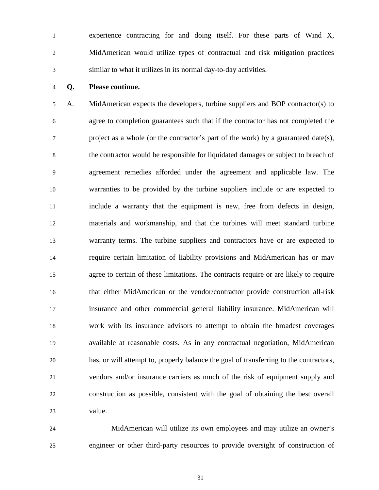1 experience contracting for and doing itself. For these parts of Wind X, 2 MidAmerican would utilize types of contractual and risk mitigation practices 3 similar to what it utilizes in its normal day-to-day activities.

#### **Q. Please continue.**

5 A. MidAmerican expects the developers, turbine suppliers and BOP contractor(s) to 6 agree to completion guarantees such that if the contractor has not completed the 7 project as a whole (or the contractor's part of the work) by a guaranteed date(s), 8 the contractor would be responsible for liquidated damages or subject to breach of 9 agreement remedies afforded under the agreement and applicable law. The warranties to be provided by the turbine suppliers include or are expected to include a warranty that the equipment is new, free from defects in design, materials and workmanship, and that the turbines will meet standard turbine warranty terms. The turbine suppliers and contractors have or are expected to require certain limitation of liability provisions and MidAmerican has or may 15 agree to certain of these limitations. The contracts require or are likely to require that either MidAmerican or the vendor/contractor provide construction all-risk insurance and other commercial general liability insurance. MidAmerican will work with its insurance advisors to attempt to obtain the broadest coverages available at reasonable costs. As in any contractual negotiation, MidAmerican has, or will attempt to, properly balance the goal of transferring to the contractors, vendors and/or insurance carriers as much of the risk of equipment supply and construction as possible, consistent with the goal of obtaining the best overall value.

 MidAmerican will utilize its own employees and may utilize an owner's engineer or other third-party resources to provide oversight of construction of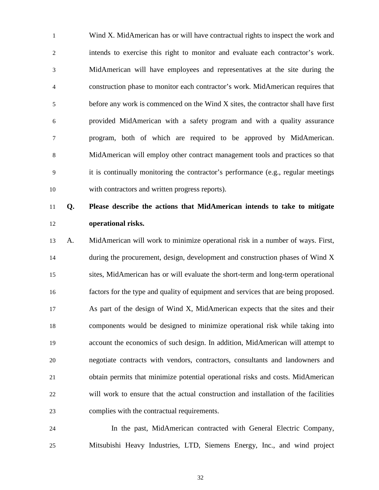1 Wind X. MidAmerican has or will have contractual rights to inspect the work and 2 intends to exercise this right to monitor and evaluate each contractor's work. 3 MidAmerican will have employees and representatives at the site during the 4 construction phase to monitor each contractor's work. MidAmerican requires that 5 before any work is commenced on the Wind X sites, the contractor shall have first 6 provided MidAmerican with a safety program and with a quality assurance 7 program, both of which are required to be approved by MidAmerican. 8 MidAmerican will employ other contract management tools and practices so that 9 it is continually monitoring the contractor's performance (e.g., regular meetings with contractors and written progress reports).

# **Q. Please describe the actions that MidAmerican intends to take to mitigate operational risks.**

 A. MidAmerican will work to minimize operational risk in a number of ways. First, during the procurement, design, development and construction phases of Wind X sites, MidAmerican has or will evaluate the short-term and long-term operational factors for the type and quality of equipment and services that are being proposed. As part of the design of Wind X, MidAmerican expects that the sites and their components would be designed to minimize operational risk while taking into account the economics of such design. In addition, MidAmerican will attempt to negotiate contracts with vendors, contractors, consultants and landowners and obtain permits that minimize potential operational risks and costs. MidAmerican will work to ensure that the actual construction and installation of the facilities complies with the contractual requirements.

24 In the past, MidAmerican contracted with General Electric Company, Mitsubishi Heavy Industries, LTD, Siemens Energy, Inc., and wind project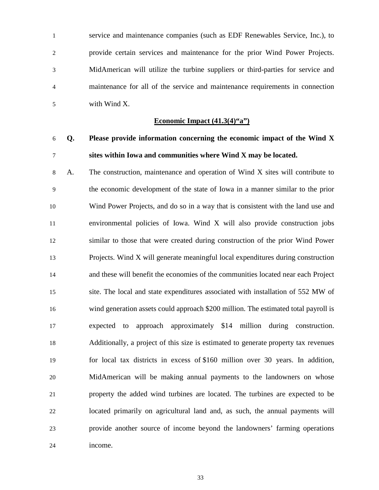1 service and maintenance companies (such as EDF Renewables Service, Inc.), to 2 provide certain services and maintenance for the prior Wind Power Projects. 3 MidAmerican will utilize the turbine suppliers or third-parties for service and 4 maintenance for all of the service and maintenance requirements in connection 5 with Wind X.

#### **Economic Impact (41.3(4)"a")**

# **Q. Please provide information concerning the economic impact of the Wind X sites within Iowa and communities where Wind X may be located.**

8 A. The construction, maintenance and operation of Wind X sites will contribute to 9 the economic development of the state of Iowa in a manner similar to the prior Wind Power Projects, and do so in a way that is consistent with the land use and environmental policies of Iowa. Wind X will also provide construction jobs similar to those that were created during construction of the prior Wind Power Projects. Wind X will generate meaningful local expenditures during construction and these will benefit the economies of the communities located near each Project site. The local and state expenditures associated with installation of 552 MW of wind generation assets could approach \$200 million. The estimated total payroll is expected to approach approximately \$14 million during construction. Additionally, a project of this size is estimated to generate property tax revenues for local tax districts in excess of \$160 million over 30 years. In addition, MidAmerican will be making annual payments to the landowners on whose property the added wind turbines are located. The turbines are expected to be located primarily on agricultural land and, as such, the annual payments will provide another source of income beyond the landowners' farming operations income.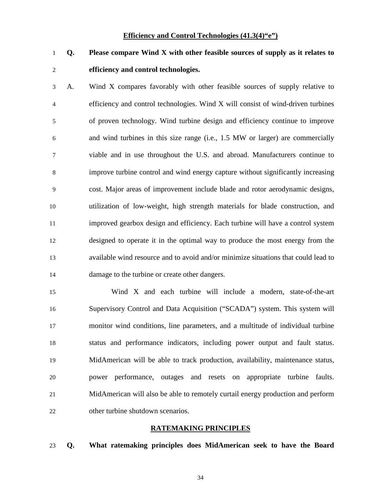#### **Efficiency and Control Technologies (41.3(4)"e")**

**Q. Please compare Wind X with other feasible sources of supply as it relates to efficiency and control technologies.** 

3 A. Wind X compares favorably with other feasible sources of supply relative to 4 efficiency and control technologies. Wind X will consist of wind-driven turbines 5 of proven technology. Wind turbine design and efficiency continue to improve 6 and wind turbines in this size range (i.e., 1.5 MW or larger) are commercially 7 viable and in use throughout the U.S. and abroad. Manufacturers continue to 8 improve turbine control and wind energy capture without significantly increasing 9 cost. Major areas of improvement include blade and rotor aerodynamic designs, utilization of low-weight, high strength materials for blade construction, and improved gearbox design and efficiency. Each turbine will have a control system designed to operate it in the optimal way to produce the most energy from the available wind resource and to avoid and/or minimize situations that could lead to damage to the turbine or create other dangers.

15 Wind X and each turbine will include a modern, state-of-the-art Supervisory Control and Data Acquisition ("SCADA") system. This system will monitor wind conditions, line parameters, and a multitude of individual turbine status and performance indicators, including power output and fault status. MidAmerican will be able to track production, availability, maintenance status, power performance, outages and resets on appropriate turbine faults. MidAmerican will also be able to remotely curtail energy production and perform other turbine shutdown scenarios.

#### **RATEMAKING PRINCIPLES**

**Q. What ratemaking principles does MidAmerican seek to have the Board**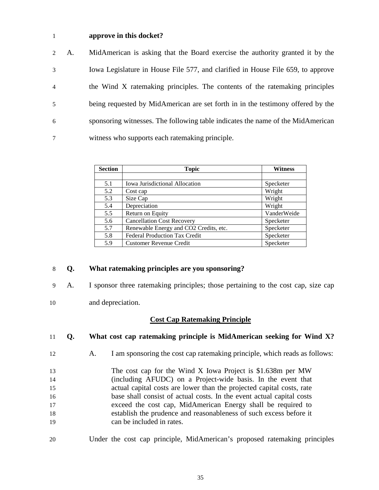### 1 **approve in this docket?**

| $2^{\circ}$    | A. | MidAmerican is asking that the Board exercise the authority granted it by the   |
|----------------|----|---------------------------------------------------------------------------------|
| 3              |    | Iowa Legislature in House File 577, and clarified in House File 659, to approve |
| $\overline{4}$ |    | the Wind X ratemaking principles. The contents of the ratemaking principles     |
| 5              |    | being requested by MidAmerican are set forth in in the testimony offered by the |
| 6              |    | sponsoring witnesses. The following table indicates the name of the MidAmerican |
| 7              |    | witness who supports each ratemaking principle.                                 |

| <b>Section</b> | <b>Topic</b>                           | <b>Witness</b> |
|----------------|----------------------------------------|----------------|
|                |                                        |                |
| 5.1            | Iowa Jurisdictional Allocation         | Specketer      |
| 5.2            | Cost cap                               | Wright         |
| 5.3            | Size Cap                               | Wright         |
| 5.4            | Depreciation                           | Wright         |
| 5.5            | Return on Equity                       | VanderWeide    |
| 5.6            | <b>Cancellation Cost Recovery</b>      | Specketer      |
| 5.7            | Renewable Energy and CO2 Credits, etc. | Specketer      |
| 5.8            | <b>Federal Production Tax Credit</b>   | Specketer      |
| 5.9            | <b>Customer Revenue Credit</b>         | Specketer      |

### 8 **Q. What ratemaking principles are you sponsoring?**

- 9 A. I sponsor three ratemaking principles; those pertaining to the cost cap, size cap
- 10 and depreciation.

### **Cost Cap Ratemaking Principle**

 **Q. What cost cap ratemaking principle is MidAmerican seeking for Wind X?**  A. I am sponsoring the cost cap ratemaking principle, which reads as follows: The cost cap for the Wind X Iowa Project is \$1.638m per MW (including AFUDC) on a Project-wide basis. In the event that actual capital costs are lower than the projected capital costs, rate base shall consist of actual costs. In the event actual capital costs exceed the cost cap, MidAmerican Energy shall be required to establish the prudence and reasonableness of such excess before it can be included in rates. 20 Under the cost cap principle, MidAmerican's proposed ratemaking principles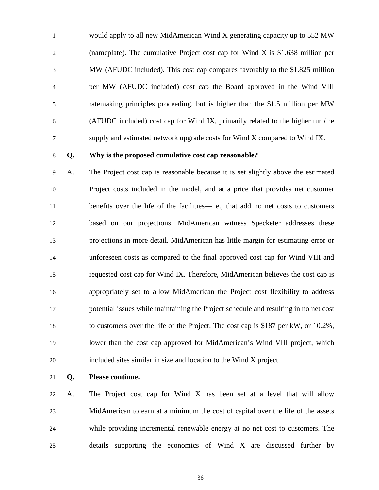1 would apply to all new MidAmerican Wind X generating capacity up to 552 MW 2 (nameplate). The cumulative Project cost cap for Wind X is \$1.638 million per 3 MW (AFUDC included). This cost cap compares favorably to the \$1.825 million 4 per MW (AFUDC included) cost cap the Board approved in the Wind VIII 5 ratemaking principles proceeding, but is higher than the \$1.5 million per MW 6 (AFUDC included) cost cap for Wind IX, primarily related to the higher turbine 7 supply and estimated network upgrade costs for Wind X compared to Wind IX.

### **Q. Why is the proposed cumulative cost cap reasonable?**

9 A. The Project cost cap is reasonable because it is set slightly above the estimated Project costs included in the model, and at a price that provides net customer benefits over the life of the facilities—i.e., that add no net costs to customers based on our projections. MidAmerican witness Specketer addresses these projections in more detail. MidAmerican has little margin for estimating error or unforeseen costs as compared to the final approved cost cap for Wind VIII and requested cost cap for Wind IX. Therefore, MidAmerican believes the cost cap is appropriately set to allow MidAmerican the Project cost flexibility to address potential issues while maintaining the Project schedule and resulting in no net cost to customers over the life of the Project. The cost cap is \$187 per kW, or 10.2%, lower than the cost cap approved for MidAmerican's Wind VIII project, which included sites similar in size and location to the Wind X project.

**Q. Please continue.** 

 A. The Project cost cap for Wind X has been set at a level that will allow MidAmerican to earn at a minimum the cost of capital over the life of the assets while providing incremental renewable energy at no net cost to customers. The details supporting the economics of Wind X are discussed further by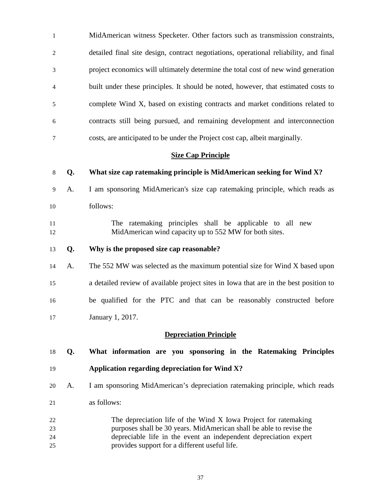| $\mathbf{1}$                  |                           | MidAmerican witness Specketer. Other factors such as transmission constraints,                                     |  |  |
|-------------------------------|---------------------------|--------------------------------------------------------------------------------------------------------------------|--|--|
| 2                             |                           | detailed final site design, contract negotiations, operational reliability, and final                              |  |  |
| 3                             |                           | project economics will ultimately determine the total cost of new wind generation                                  |  |  |
| $\overline{4}$                |                           | built under these principles. It should be noted, however, that estimated costs to                                 |  |  |
| 5                             |                           | complete Wind X, based on existing contracts and market conditions related to                                      |  |  |
| 6                             |                           | contracts still being pursued, and remaining development and interconnection                                       |  |  |
| $\tau$                        |                           | costs, are anticipated to be under the Project cost cap, albeit marginally.                                        |  |  |
|                               | <b>Size Cap Principle</b> |                                                                                                                    |  |  |
| 8                             | Q.                        | What size cap ratemaking principle is MidAmerican seeking for Wind X?                                              |  |  |
| 9                             | A.                        | I am sponsoring MidAmerican's size cap ratemaking principle, which reads as                                        |  |  |
| 10                            |                           | follows:                                                                                                           |  |  |
| 11<br>12                      |                           | The ratemaking principles shall be applicable to all new<br>MidAmerican wind capacity up to 552 MW for both sites. |  |  |
| 13                            | Q.                        | Why is the proposed size cap reasonable?                                                                           |  |  |
| 14                            | А.                        | The 552 MW was selected as the maximum potential size for Wind X based upon                                        |  |  |
| 15                            |                           | a detailed review of available project sites in Iowa that are in the best position to                              |  |  |
| 16                            |                           | be qualified for the PTC and that can be reasonably constructed before                                             |  |  |
| 17                            |                           | January 1, 2017.                                                                                                   |  |  |
| <b>Depreciation Principle</b> |                           |                                                                                                                    |  |  |
| 18                            | Q.                        | What information are you sponsoring in the Ratemaking Principles                                                   |  |  |
| 19                            |                           | Application regarding depreciation for Wind X?                                                                     |  |  |
| 20                            | A.                        | I am sponsoring MidAmerican's depreciation ratemaking principle, which reads                                       |  |  |
| 21                            |                           | as follows:                                                                                                        |  |  |
|                               |                           |                                                                                                                    |  |  |

 The depreciation life of the Wind X Iowa Project for ratemaking purposes shall be 30 years. MidAmerican shall be able to revise the depreciable life in the event an independent depreciation expert provides support for a different useful life.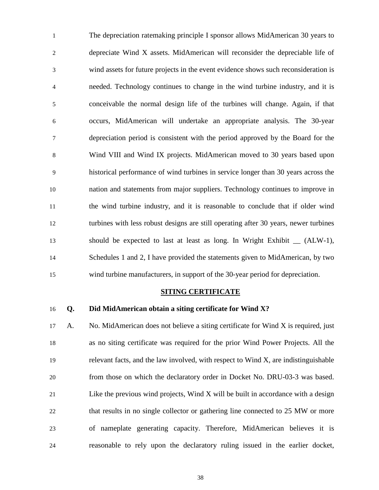1 The depreciation ratemaking principle I sponsor allows MidAmerican 30 years to 2 depreciate Wind X assets. MidAmerican will reconsider the depreciable life of 3 wind assets for future projects in the event evidence shows such reconsideration is 4 needed. Technology continues to change in the wind turbine industry, and it is 5 conceivable the normal design life of the turbines will change. Again, if that 6 occurs, MidAmerican will undertake an appropriate analysis. The 30-year 7 depreciation period is consistent with the period approved by the Board for the 8 Wind VIII and Wind IX projects. MidAmerican moved to 30 years based upon 9 historical performance of wind turbines in service longer than 30 years across the 10 nation and statements from major suppliers. Technology continues to improve in 11 the wind turbine industry, and it is reasonable to conclude that if older wind 12 turbines with less robust designs are still operating after 30 years, newer turbines 13 should be expected to last at least as long. In Wright Exhibit \_\_ (ALW-1), 14 Schedules 1 and 2, I have provided the statements given to MidAmerican, by two 15 wind turbine manufacturers, in support of the 30-year period for depreciation.

#### **SITING CERTIFICATE**

### 16 **Q. Did MidAmerican obtain a siting certificate for Wind X?**

 A. No. MidAmerican does not believe a siting certificate for Wind X is required, just as no siting certificate was required for the prior Wind Power Projects. All the relevant facts, and the law involved, with respect to Wind X, are indistinguishable from those on which the declaratory order in Docket No. DRU-03-3 was based. Like the previous wind projects, Wind X will be built in accordance with a design that results in no single collector or gathering line connected to 25 MW or more of nameplate generating capacity. Therefore, MidAmerican believes it is reasonable to rely upon the declaratory ruling issued in the earlier docket,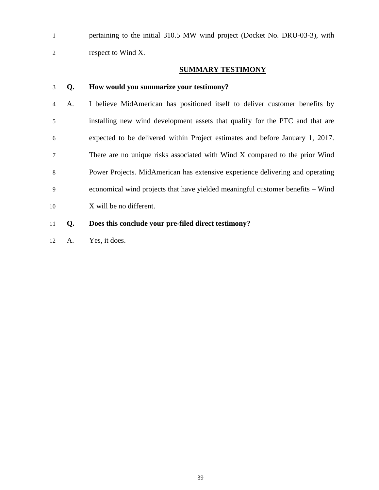1 pertaining to the initial 310.5 MW wind project (Docket No. DRU-03-3), with 2 respect to Wind X.

### **SUMMARY TESTIMONY**

### 3 **Q. How would you summarize your testimony?**

- 4 A. I believe MidAmerican has positioned itself to deliver customer benefits by 5 installing new wind development assets that qualify for the PTC and that are 6 expected to be delivered within Project estimates and before January 1, 2017. 7 There are no unique risks associated with Wind X compared to the prior Wind 8 Power Projects. MidAmerican has extensive experience delivering and operating 9 economical wind projects that have yielded meaningful customer benefits – Wind 10 X will be no different.
- 11 **Q. Does this conclude your pre-filed direct testimony?**
- 12 A. Yes, it does.